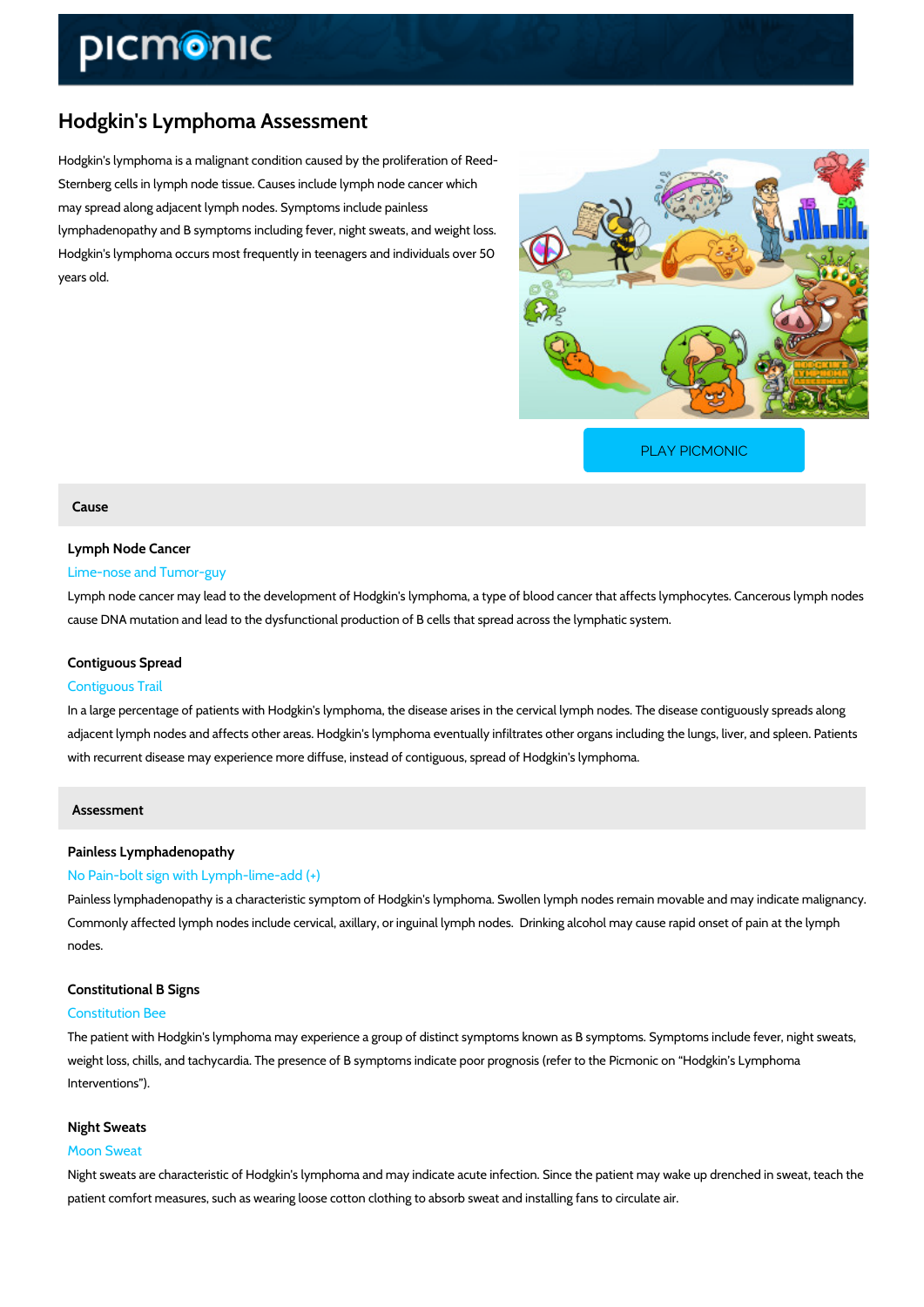# Hodgkin's Lymphoma Assessment

Hodgkin's lymphoma is a malignant condition caused by the proliferation of Reed- Sternberg cells in lymph node tissue. Causes include lymph node cancer which may spread along adjacent lymph nodes. Symptoms include painless lymphadenopathy and B symptoms including fever, night sweats, and weight loss. Hodgkin's lymphoma occurs most frequently in teenagers and individuals over 50 years old.

[PLAY PICMONIC](https://www.picmonic.com/learn/hodgkin-s-lymphoma-assessment_2195?utm_source=downloadable_content&utm_medium=distributedcontent&utm_campaign=pathways_pdf&utm_content=Hodgkin)

## Cause

## Lymph Node Cancer Lime-nose and Tumor-guy

# Lymph node cancer may lead to the development of Hodgkin's lymphoma, a type of blood cance cause DNA mutation and lead to the dysfunctional production of B cells that spread across the

# Contiguous Spread Contiguous Trail

In a large percentage of patients with Hodgkin's lymphoma, the disease arises in the cervical adjacent lymph nodes and affects other areas. Hodgkin's lymphoma eventually infiltrates othe with recurrent disease may experience more diffuse, instead of contiguous, spread of Hodgkin

Assessment

## Painless Lymphadenopathy

## No Pain-bolt sign with Lymph-lime-add (+)

Painless lymphadenopathy is a characteristic symptom of Hodgkin's lymphoma. Swollen lymph Commonly affected lymph nodes include cervical, axillary, or inguinal lymph nodes. Drinking nodes.

## Constitutional B Signs

#### Constitution Bee

The patient with Hodgkin's lymphoma may experience a group of distinct symptoms known as E weight loss, chills, and tachycardia. The presence of B symptoms indicate poor prognosis (ref Interventions ).

#### Night Sweats

#### Moon Sweat

Night sweats are characteristic of Hodgkin's lymphoma and may indicate acute infection. Sinc patient comfort measures, such as wearing loose cotton clothing to absorb sweat and installin